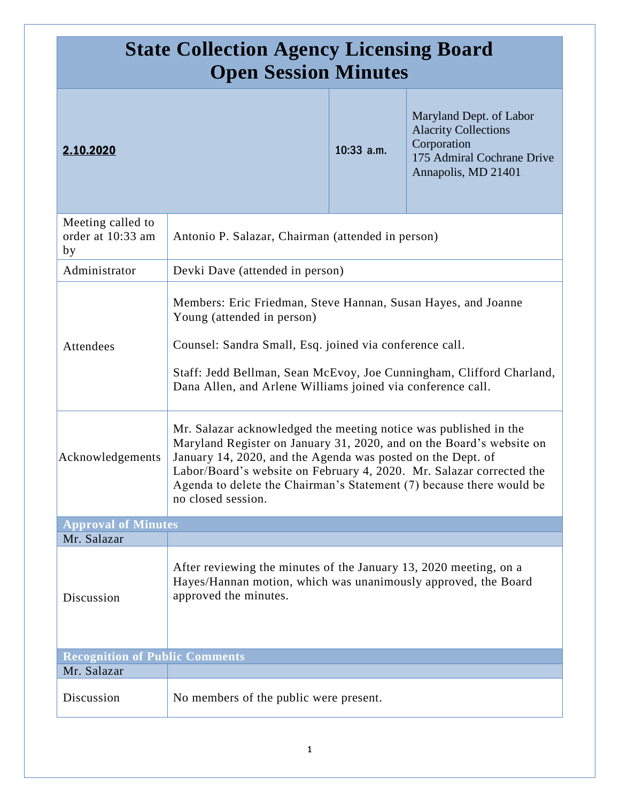| <b>State Collection Agency Licensing Board</b><br><b>Open Session Minutes</b> |                                                                                                                                                                                                                                                                                                                                                                               |            |                                                                                                                            |
|-------------------------------------------------------------------------------|-------------------------------------------------------------------------------------------------------------------------------------------------------------------------------------------------------------------------------------------------------------------------------------------------------------------------------------------------------------------------------|------------|----------------------------------------------------------------------------------------------------------------------------|
| 2.10.2020                                                                     |                                                                                                                                                                                                                                                                                                                                                                               | 10:33 a.m. | Maryland Dept. of Labor<br><b>Alacrity Collections</b><br>Corporation<br>175 Admiral Cochrane Drive<br>Annapolis, MD 21401 |
| Meeting called to<br>order at 10:33 am<br>by                                  | Antonio P. Salazar, Chairman (attended in person)                                                                                                                                                                                                                                                                                                                             |            |                                                                                                                            |
| Administrator                                                                 | Devki Dave (attended in person)                                                                                                                                                                                                                                                                                                                                               |            |                                                                                                                            |
| Attendees                                                                     | Members: Eric Friedman, Steve Hannan, Susan Hayes, and Joanne<br>Young (attended in person)<br>Counsel: Sandra Small, Esq. joined via conference call.<br>Staff: Jedd Bellman, Sean McEvoy, Joe Cunningham, Clifford Charland,<br>Dana Allen, and Arlene Williams joined via conference call.                                                                                 |            |                                                                                                                            |
| Acknowledgements                                                              | Mr. Salazar acknowledged the meeting notice was published in the<br>Maryland Register on January 31, 2020, and on the Board's website on<br>January 14, 2020, and the Agenda was posted on the Dept. of<br>Labor/Board's website on February 4, 2020. Mr. Salazar corrected the<br>Agenda to delete the Chairman's Statement (7) because there would be<br>no closed session. |            |                                                                                                                            |
| <b>Approval of Minutes</b>                                                    |                                                                                                                                                                                                                                                                                                                                                                               |            |                                                                                                                            |
| Mr. Salazar                                                                   |                                                                                                                                                                                                                                                                                                                                                                               |            |                                                                                                                            |
| Discussion                                                                    | After reviewing the minutes of the January 13, 2020 meeting, on a<br>Hayes/Hannan motion, which was unanimously approved, the Board<br>approved the minutes.                                                                                                                                                                                                                  |            |                                                                                                                            |
| <b>Recognition of Public Comments</b>                                         |                                                                                                                                                                                                                                                                                                                                                                               |            |                                                                                                                            |
| Mr. Salazar                                                                   |                                                                                                                                                                                                                                                                                                                                                                               |            |                                                                                                                            |
| Discussion                                                                    | No members of the public were present.                                                                                                                                                                                                                                                                                                                                        |            |                                                                                                                            |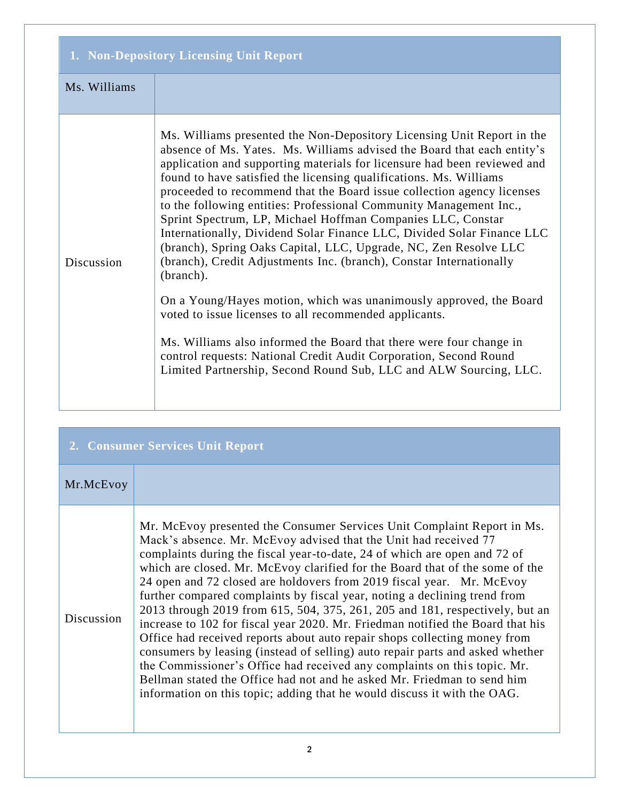| 1. Non-Depository Licensing Unit Report |                                                                                                                                                                                                                                                                                                                                                                                                                                                                                                                                                                                                                                                                                                                                                                                                                                                                                                                                                                                                                                                                                                       |
|-----------------------------------------|-------------------------------------------------------------------------------------------------------------------------------------------------------------------------------------------------------------------------------------------------------------------------------------------------------------------------------------------------------------------------------------------------------------------------------------------------------------------------------------------------------------------------------------------------------------------------------------------------------------------------------------------------------------------------------------------------------------------------------------------------------------------------------------------------------------------------------------------------------------------------------------------------------------------------------------------------------------------------------------------------------------------------------------------------------------------------------------------------------|
| Ms. Williams                            |                                                                                                                                                                                                                                                                                                                                                                                                                                                                                                                                                                                                                                                                                                                                                                                                                                                                                                                                                                                                                                                                                                       |
| Discussion                              | Ms. Williams presented the Non-Depository Licensing Unit Report in the<br>absence of Ms. Yates. Ms. Williams advised the Board that each entity's<br>application and supporting materials for licensure had been reviewed and<br>found to have satisfied the licensing qualifications. Ms. Williams<br>proceeded to recommend that the Board issue collection agency licenses<br>to the following entities: Professional Community Management Inc.,<br>Sprint Spectrum, LP, Michael Hoffman Companies LLC, Constar<br>Internationally, Dividend Solar Finance LLC, Divided Solar Finance LLC<br>(branch), Spring Oaks Capital, LLC, Upgrade, NC, Zen Resolve LLC<br>(branch), Credit Adjustments Inc. (branch), Constar Internationally<br>(branch).<br>On a Young/Hayes motion, which was unanimously approved, the Board<br>voted to issue licenses to all recommended applicants.<br>Ms. Williams also informed the Board that there were four change in<br>control requests: National Credit Audit Corporation, Second Round<br>Limited Partnership, Second Round Sub, LLC and ALW Sourcing, LLC. |

| 2. Consumer Services Unit Report |                                                                                                                                                                                                                                                                                                                                                                                                                                                                                                                                                                                                                                                                                                                                                                                                                                                                                                                                                                                                                                   |
|----------------------------------|-----------------------------------------------------------------------------------------------------------------------------------------------------------------------------------------------------------------------------------------------------------------------------------------------------------------------------------------------------------------------------------------------------------------------------------------------------------------------------------------------------------------------------------------------------------------------------------------------------------------------------------------------------------------------------------------------------------------------------------------------------------------------------------------------------------------------------------------------------------------------------------------------------------------------------------------------------------------------------------------------------------------------------------|
| Mr.McEvoy                        |                                                                                                                                                                                                                                                                                                                                                                                                                                                                                                                                                                                                                                                                                                                                                                                                                                                                                                                                                                                                                                   |
| Discussion                       | Mr. McEvoy presented the Consumer Services Unit Complaint Report in Ms.<br>Mack's absence. Mr. McEvoy advised that the Unit had received 77<br>complaints during the fiscal year-to-date, 24 of which are open and 72 of<br>which are closed. Mr. McEvoy clarified for the Board that of the some of the<br>24 open and 72 closed are holdovers from 2019 fiscal year. Mr. McEvoy<br>further compared complaints by fiscal year, noting a declining trend from<br>2013 through 2019 from 615, 504, 375, 261, 205 and 181, respectively, but an<br>increase to 102 for fiscal year 2020. Mr. Friedman notified the Board that his<br>Office had received reports about auto repair shops collecting money from<br>consumers by leasing (instead of selling) auto repair parts and asked whether<br>the Commissioner's Office had received any complaints on this topic. Mr.<br>Bellman stated the Office had not and he asked Mr. Friedman to send him<br>information on this topic; adding that he would discuss it with the OAG. |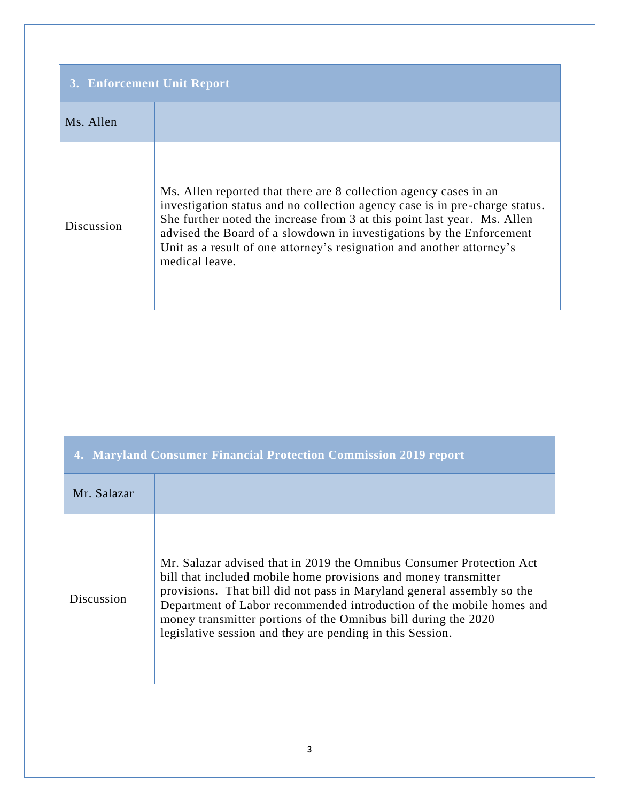| 3. Enforcement Unit Report |                                                                                                                                                                                                                                                                                                                                                                                                 |
|----------------------------|-------------------------------------------------------------------------------------------------------------------------------------------------------------------------------------------------------------------------------------------------------------------------------------------------------------------------------------------------------------------------------------------------|
| Ms. Allen                  |                                                                                                                                                                                                                                                                                                                                                                                                 |
| Discussion                 | Ms. Allen reported that there are 8 collection agency cases in an<br>investigation status and no collection agency case is in pre-charge status.<br>She further noted the increase from 3 at this point last year. Ms. Allen<br>advised the Board of a slowdown in investigations by the Enforcement<br>Unit as a result of one attorney's resignation and another attorney's<br>medical leave. |

| 4. Maryland Consumer Financial Protection Commission 2019 report |                                                                                                                                                                                                                                                                                                                                                                                                                          |
|------------------------------------------------------------------|--------------------------------------------------------------------------------------------------------------------------------------------------------------------------------------------------------------------------------------------------------------------------------------------------------------------------------------------------------------------------------------------------------------------------|
| Mr. Salazar                                                      |                                                                                                                                                                                                                                                                                                                                                                                                                          |
| Discussion                                                       | Mr. Salazar advised that in 2019 the Omnibus Consumer Protection Act<br>bill that included mobile home provisions and money transmitter<br>provisions. That bill did not pass in Maryland general assembly so the<br>Department of Labor recommended introduction of the mobile homes and<br>money transmitter portions of the Omnibus bill during the 2020<br>legislative session and they are pending in this Session. |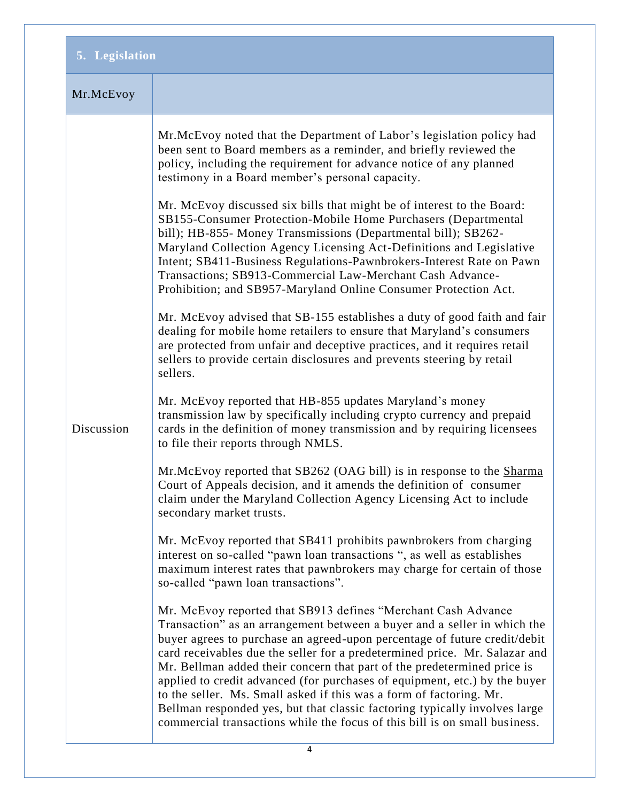| 5. Legislation |                                                                                                                                                                                                                                                                                                                                                                                                                                                                                                                                                                                                                                                                                                                                                                                                                                                                                                                                                                                                                                                                                                                                                                                                                                                                                                                                                                                                                                                                                                                                                                                                                                                                                                                                                                                                                                                                                                                                                                                                                                                                                                                                                                                                                                                                                                                                                                                                                                                                                                                                                                                |
|----------------|--------------------------------------------------------------------------------------------------------------------------------------------------------------------------------------------------------------------------------------------------------------------------------------------------------------------------------------------------------------------------------------------------------------------------------------------------------------------------------------------------------------------------------------------------------------------------------------------------------------------------------------------------------------------------------------------------------------------------------------------------------------------------------------------------------------------------------------------------------------------------------------------------------------------------------------------------------------------------------------------------------------------------------------------------------------------------------------------------------------------------------------------------------------------------------------------------------------------------------------------------------------------------------------------------------------------------------------------------------------------------------------------------------------------------------------------------------------------------------------------------------------------------------------------------------------------------------------------------------------------------------------------------------------------------------------------------------------------------------------------------------------------------------------------------------------------------------------------------------------------------------------------------------------------------------------------------------------------------------------------------------------------------------------------------------------------------------------------------------------------------------------------------------------------------------------------------------------------------------------------------------------------------------------------------------------------------------------------------------------------------------------------------------------------------------------------------------------------------------------------------------------------------------------------------------------------------------|
| Mr.McEvoy      |                                                                                                                                                                                                                                                                                                                                                                                                                                                                                                                                                                                                                                                                                                                                                                                                                                                                                                                                                                                                                                                                                                                                                                                                                                                                                                                                                                                                                                                                                                                                                                                                                                                                                                                                                                                                                                                                                                                                                                                                                                                                                                                                                                                                                                                                                                                                                                                                                                                                                                                                                                                |
| Discussion     | Mr.McEvoy noted that the Department of Labor's legislation policy had<br>been sent to Board members as a reminder, and briefly reviewed the<br>policy, including the requirement for advance notice of any planned<br>testimony in a Board member's personal capacity.<br>Mr. McEvoy discussed six bills that might be of interest to the Board:<br>SB155-Consumer Protection-Mobile Home Purchasers (Departmental<br>bill); HB-855- Money Transmissions (Departmental bill); SB262-<br>Maryland Collection Agency Licensing Act-Definitions and Legislative<br>Intent; SB411-Business Regulations-Pawnbrokers-Interest Rate on Pawn<br>Transactions; SB913-Commercial Law-Merchant Cash Advance-<br>Prohibition; and SB957-Maryland Online Consumer Protection Act.<br>Mr. McEvoy advised that SB-155 establishes a duty of good faith and fair<br>dealing for mobile home retailers to ensure that Maryland's consumers<br>are protected from unfair and deceptive practices, and it requires retail<br>sellers to provide certain disclosures and prevents steering by retail<br>sellers.<br>Mr. McEvoy reported that HB-855 updates Maryland's money<br>transmission law by specifically including crypto currency and prepaid<br>cards in the definition of money transmission and by requiring licensees<br>to file their reports through NMLS.<br>Mr.McEvoy reported that SB262 (OAG bill) is in response to the Sharma<br>Court of Appeals decision, and it amends the definition of consumer<br>claim under the Maryland Collection Agency Licensing Act to include<br>secondary market trusts.<br>Mr. McEvoy reported that SB411 prohibits pawnbrokers from charging<br>interest on so-called "pawn loan transactions", as well as establishes<br>maximum interest rates that pawnbrokers may charge for certain of those<br>so-called "pawn loan transactions".<br>Mr. McEvoy reported that SB913 defines "Merchant Cash Advance<br>Transaction" as an arrangement between a buyer and a seller in which the<br>buyer agrees to purchase an agreed-upon percentage of future credit/debit<br>card receivables due the seller for a predetermined price. Mr. Salazar and<br>Mr. Bellman added their concern that part of the predetermined price is<br>applied to credit advanced (for purchases of equipment, etc.) by the buyer<br>to the seller. Ms. Small asked if this was a form of factoring. Mr.<br>Bellman responded yes, but that classic factoring typically involves large<br>commercial transactions while the focus of this bill is on small business. |
|                | 4                                                                                                                                                                                                                                                                                                                                                                                                                                                                                                                                                                                                                                                                                                                                                                                                                                                                                                                                                                                                                                                                                                                                                                                                                                                                                                                                                                                                                                                                                                                                                                                                                                                                                                                                                                                                                                                                                                                                                                                                                                                                                                                                                                                                                                                                                                                                                                                                                                                                                                                                                                              |